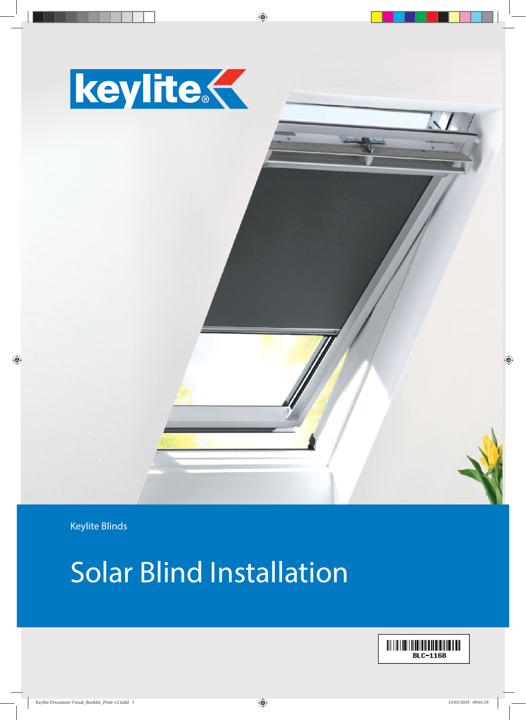



Keylite Blinds

### Solar Blind Installation

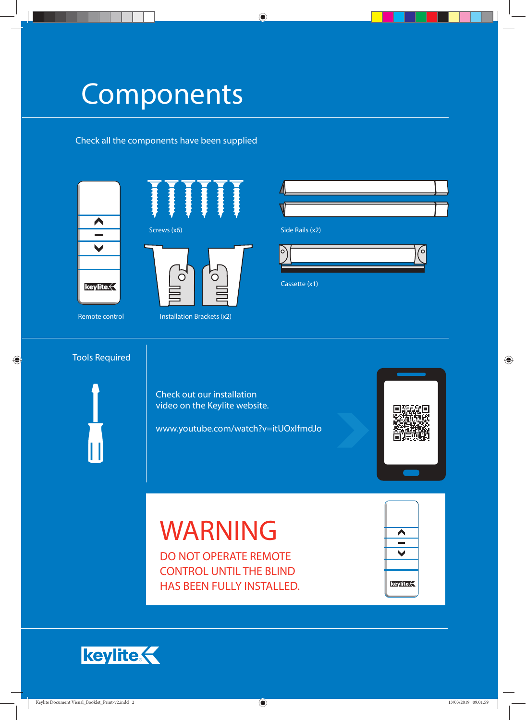### Components

Check all the components have been supplied



Screws (x6) Screws (x6) Side Rails (x2)  $\overline{C}$ ∩

Remote control Installation Brackets (x2)



Cassette (x1)

#### Tools Required

Check out our installation video on the Keylite website.

www.youtube.com/watch?v=itUOxIfmdJo



# WARNING

DO NOT OPERATE REMOTE CONTROL UNTIL THE BLIND HAS BEEN FULLY INSTALLED.



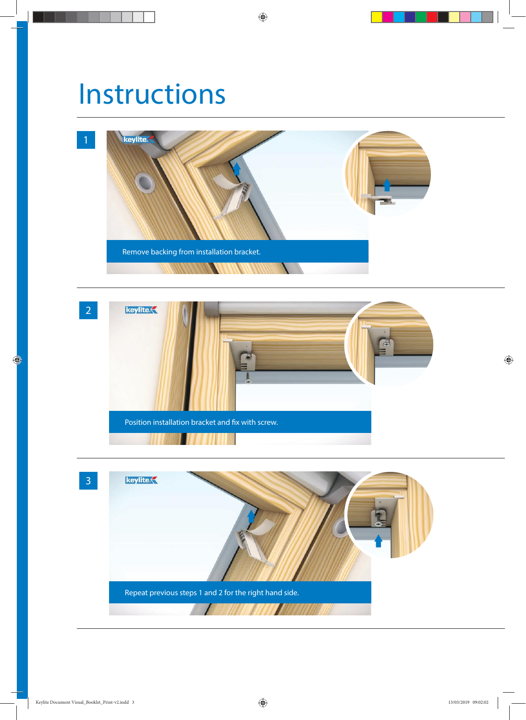### Instructions





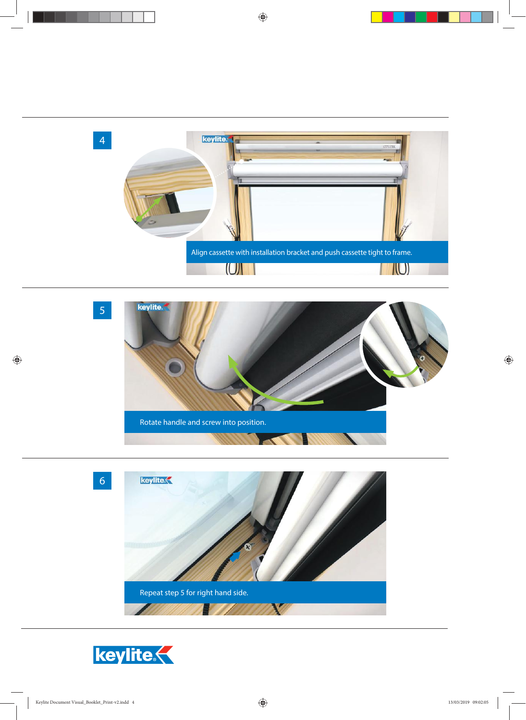





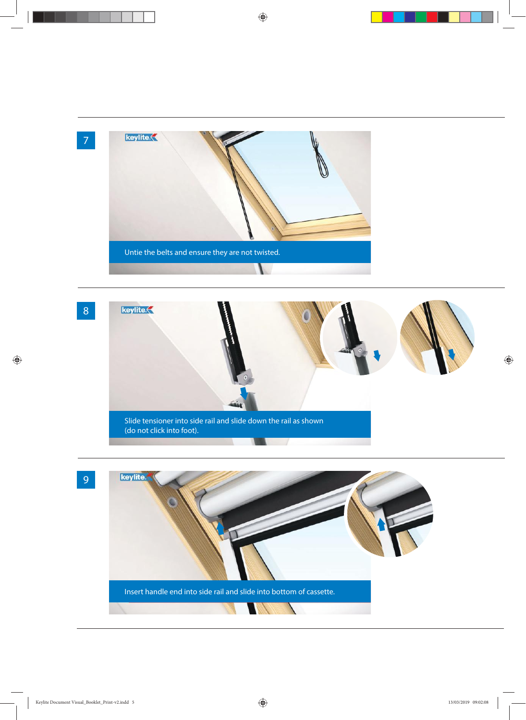



9

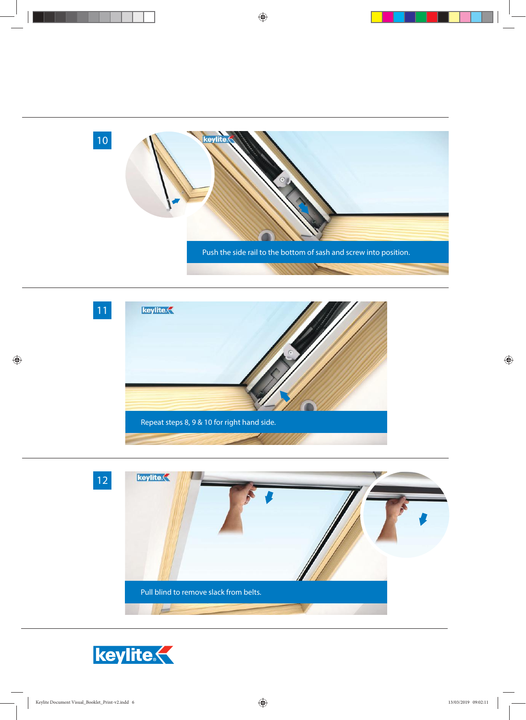





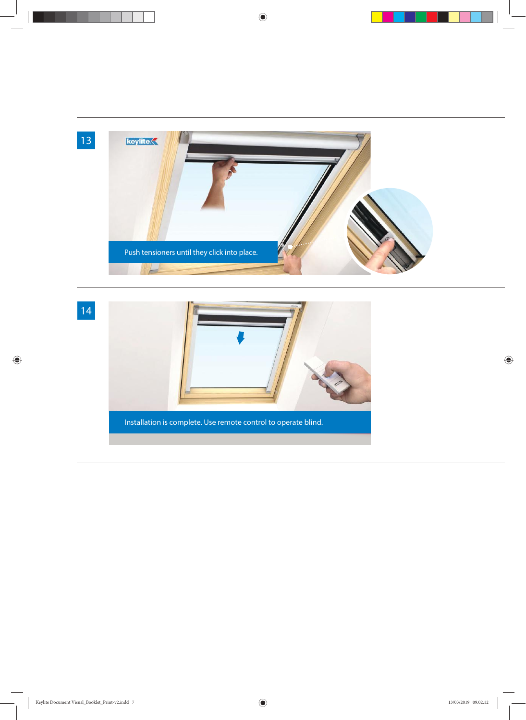